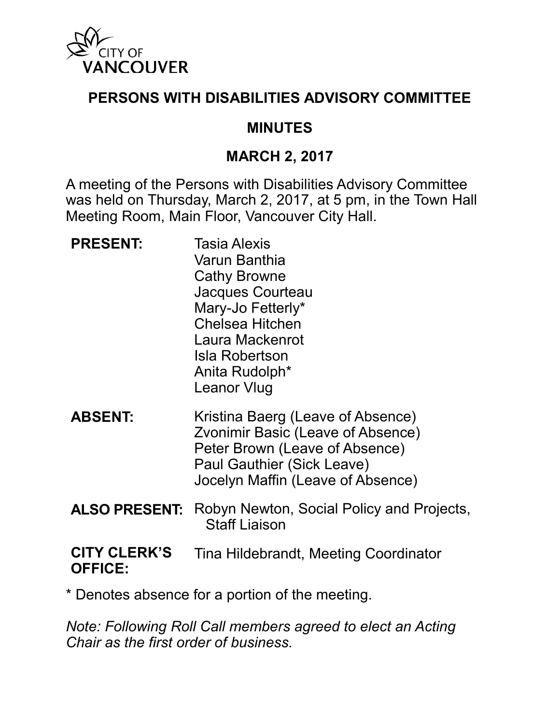

### **PERSONS WITH DISABILITIES ADVISORY COMMITTEE**

#### **MINUTES**

#### **MARCH 2, 2017**

A meeting of the Persons with Disabilities Advisory Committee was held on Thursday, March 2, 2017, at 5 pm, in the Town Hall Meeting Room, Main Floor, Vancouver City Hall.

**PRESENT:** Tasia Alexis Varun Banthia Cathy Browne Jacques Courteau Mary-Jo Fetterly\* Chelsea Hitchen Laura Mackenrot Isla Robertson Anita Rudolph\* Leanor Vlug **ABSENT:** Kristina Baerg (Leave of Absence) Zvonimir Basic (Leave of Absence) Peter Brown (Leave of Absence) Paul Gauthier (Sick Leave) Jocelyn Maffin (Leave of Absence) **ALSO PRESENT:** Robyn Newton, Social Policy and Projects, Staff Liaison **CITY CLERK'S** 

### **OFFICE:** Tina Hildebrandt, Meeting Coordinator

\* Denotes absence for a portion of the meeting.

*Note: Following Roll Call members agreed to elect an Acting Chair as the first order of business.*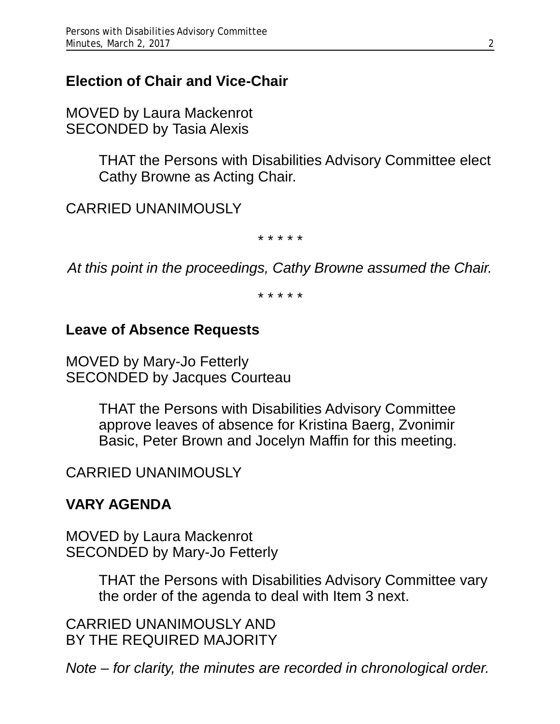## **Election of Chair and Vice-Chair**

MOVED by Laura Mackenrot SECONDED by Tasia Alexis

> THAT the Persons with Disabilities Advisory Committee elect Cathy Browne as Acting Chair.

CARRIED UNANIMOUSLY

*\* \* \* \* \**

*At this point in the proceedings, Cathy Browne assumed the Chair.*

*\* \* \* \* \**

### **Leave of Absence Requests**

MOVED by Mary-Jo Fetterly SECONDED by Jacques Courteau

> THAT the Persons with Disabilities Advisory Committee approve leaves of absence for Kristina Baerg, Zvonimir Basic, Peter Brown and Jocelyn Maffin for this meeting.

### CARRIED UNANIMOUSLY

## **VARY AGENDA**

MOVED by Laura Mackenrot SECONDED by Mary-Jo Fetterly

> THAT the Persons with Disabilities Advisory Committee vary the order of the agenda to deal with Item 3 next.

CARRIED UNANIMOUSLY AND BY THE REQUIRED MAJORITY

*Note – for clarity, the minutes are recorded in chronological order.*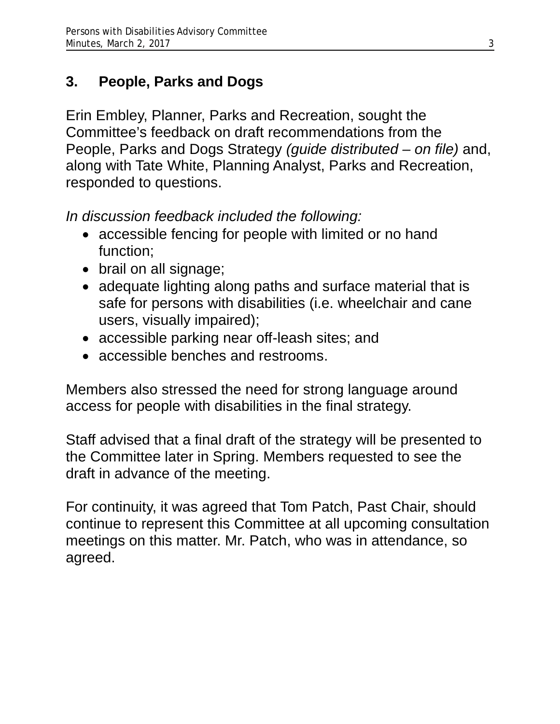## **3. People, Parks and Dogs**

Erin Embley, Planner, Parks and Recreation, sought the Committee's feedback on draft recommendations from the People, Parks and Dogs Strategy *(guide distributed – on file)* and, along with Tate White, Planning Analyst, Parks and Recreation, responded to questions.

*In discussion feedback included the following:* 

- accessible fencing for people with limited or no hand function;
- brail on all signage;
- adequate lighting along paths and surface material that is safe for persons with disabilities (i.e. wheelchair and cane users, visually impaired);
- accessible parking near off-leash sites; and
- accessible benches and restrooms.

Members also stressed the need for strong language around access for people with disabilities in the final strategy.

Staff advised that a final draft of the strategy will be presented to the Committee later in Spring. Members requested to see the draft in advance of the meeting.

For continuity, it was agreed that Tom Patch, Past Chair, should continue to represent this Committee at all upcoming consultation meetings on this matter. Mr. Patch, who was in attendance, so agreed.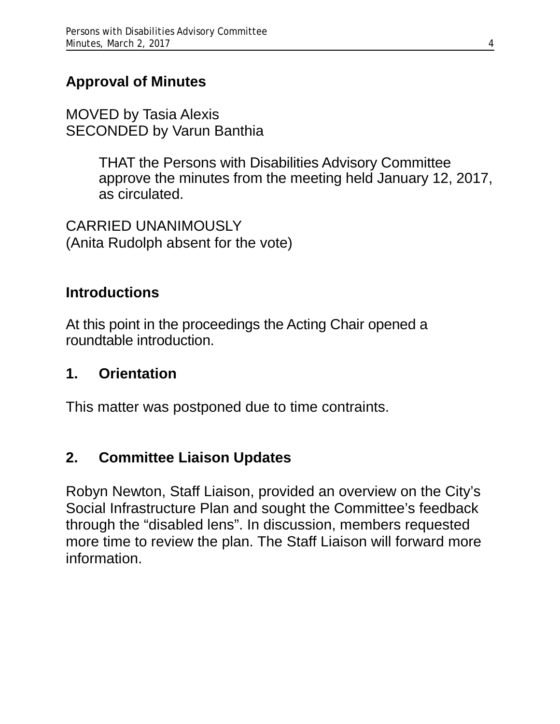## **Approval of Minutes**

MOVED by Tasia Alexis SECONDED by Varun Banthia

> THAT the Persons with Disabilities Advisory Committee approve the minutes from the meeting held January 12, 2017, as circulated.

CARRIED UNANIMOUSLY (Anita Rudolph absent for the vote)

### **Introductions**

At this point in the proceedings the Acting Chair opened a roundtable introduction.

### **1. Orientation**

This matter was postponed due to time contraints.

## **2. Committee Liaison Updates**

Robyn Newton, Staff Liaison, provided an overview on the City's Social Infrastructure Plan and sought the Committee's feedback through the "disabled lens". In discussion, members requested more time to review the plan. The Staff Liaison will forward more information.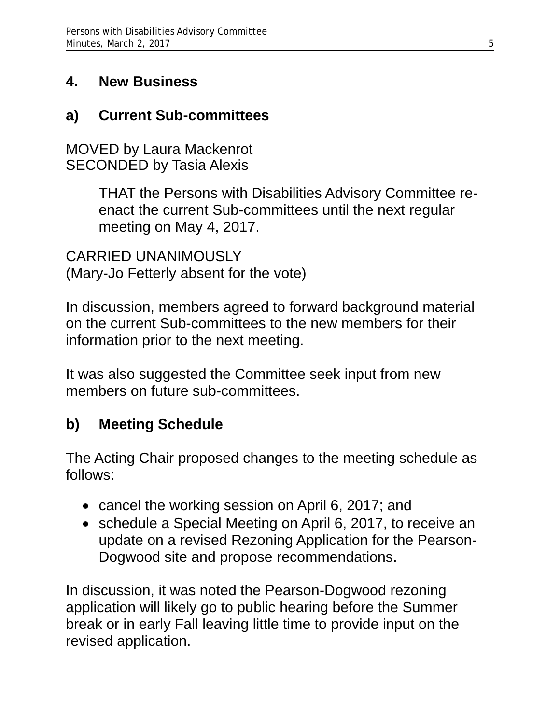## **4. New Business**

## **a) Current Sub-committees**

MOVED by Laura Mackenrot SECONDED by Tasia Alexis

> THAT the Persons with Disabilities Advisory Committee reenact the current Sub-committees until the next regular meeting on May 4, 2017.

CARRIED UNANIMOUSLY (Mary-Jo Fetterly absent for the vote)

In discussion, members agreed to forward background material on the current Sub-committees to the new members for their information prior to the next meeting.

It was also suggested the Committee seek input from new members on future sub-committees.

# **b) Meeting Schedule**

The Acting Chair proposed changes to the meeting schedule as follows:

- cancel the working session on April 6, 2017; and
- schedule a Special Meeting on April 6, 2017, to receive an update on a revised Rezoning Application for the Pearson-Dogwood site and propose recommendations.

In discussion, it was noted the Pearson-Dogwood rezoning application will likely go to public hearing before the Summer break or in early Fall leaving little time to provide input on the revised application.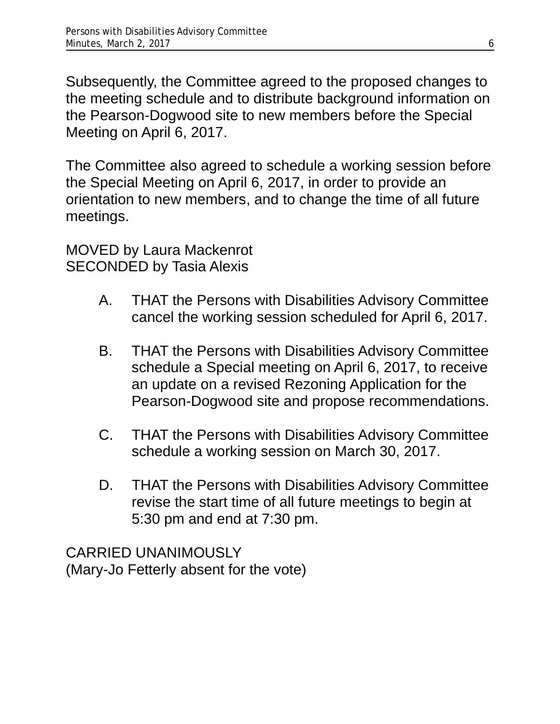Subsequently, the Committee agreed to the proposed changes to the meeting schedule and to distribute background information on the Pearson-Dogwood site to new members before the Special Meeting on April 6, 2017.

The Committee also agreed to schedule a working session before the Special Meeting on April 6, 2017, in order to provide an orientation to new members, and to change the time of all future meetings.

MOVED by Laura Mackenrot SECONDED by Tasia Alexis

- A. THAT the Persons with Disabilities Advisory Committee cancel the working session scheduled for April 6, 2017.
- B. THAT the Persons with Disabilities Advisory Committee schedule a Special meeting on April 6, 2017, to receive an update on a revised Rezoning Application for the Pearson-Dogwood site and propose recommendations.
- C. THAT the Persons with Disabilities Advisory Committee schedule a working session on March 30, 2017.
- D. THAT the Persons with Disabilities Advisory Committee revise the start time of all future meetings to begin at 5:30 pm and end at 7:30 pm.

CARRIED UNANIMOUSLY (Mary-Jo Fetterly absent for the vote)